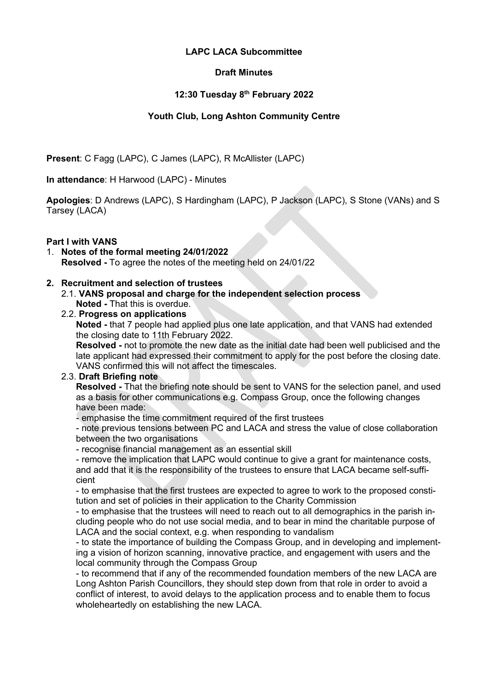# **LAPC LACA Subcommittee**

# **Draft Minutes**

# **12:30 Tuesday 8 th February 2022**

# **Youth Club, Long Ashton Community Centre**

**Present**: C Fagg (LAPC), C James (LAPC), R McAllister (LAPC)

**In attendance**: H Harwood (LAPC) - Minutes

**Apologies**: D Andrews (LAPC), S Hardingham (LAPC), P Jackson (LAPC), S Stone (VANs) and S Tarsey (LACA)

# **Part I with VANS**

1. **Notes of the formal meeting 24/01/2022 Resolved -** To agree the notes of the meeting held on 24/01/22

# **2. Recruitment and selection of trustees**

2.1. **VANS proposal and charge for the independent selection process Noted -** That this is overdue.

# 2.2. **Progress on applications**

**Noted -** that 7 people had applied plus one late application, and that VANS had extended the closing date to 11th February 2022.

**Resolved -** not to promote the new date as the initial date had been well publicised and the late applicant had expressed their commitment to apply for the post before the closing date. VANS confirmed this will not affect the timescales.

# 2.3. **Draft Briefing note**

**Resolved -** That the briefing note should be sent to VANS for the selection panel, and used as a basis for other communications e.g. Compass Group, once the following changes have been made:

- emphasise the time commitment required of the first trustees

- note previous tensions between PC and LACA and stress the value of close collaboration between the two organisations

- recognise financial management as an essential skill

- remove the implication that LAPC would continue to give a grant for maintenance costs, and add that it is the responsibility of the trustees to ensure that LACA became self-sufficient

- to emphasise that the first trustees are expected to agree to work to the proposed constitution and set of policies in their application to the Charity Commission

- to emphasise that the trustees will need to reach out to all demographics in the parish including people who do not use social media, and to bear in mind the charitable purpose of LACA and the social context, e.g. when responding to vandalism

- to state the importance of building the Compass Group, and in developing and implementing a vision of horizon scanning, innovative practice, and engagement with users and the local community through the Compass Group

- to recommend that if any of the recommended foundation members of the new LACA are Long Ashton Parish Councillors, they should step down from that role in order to avoid a conflict of interest, to avoid delays to the application process and to enable them to focus wholeheartedly on establishing the new LACA.